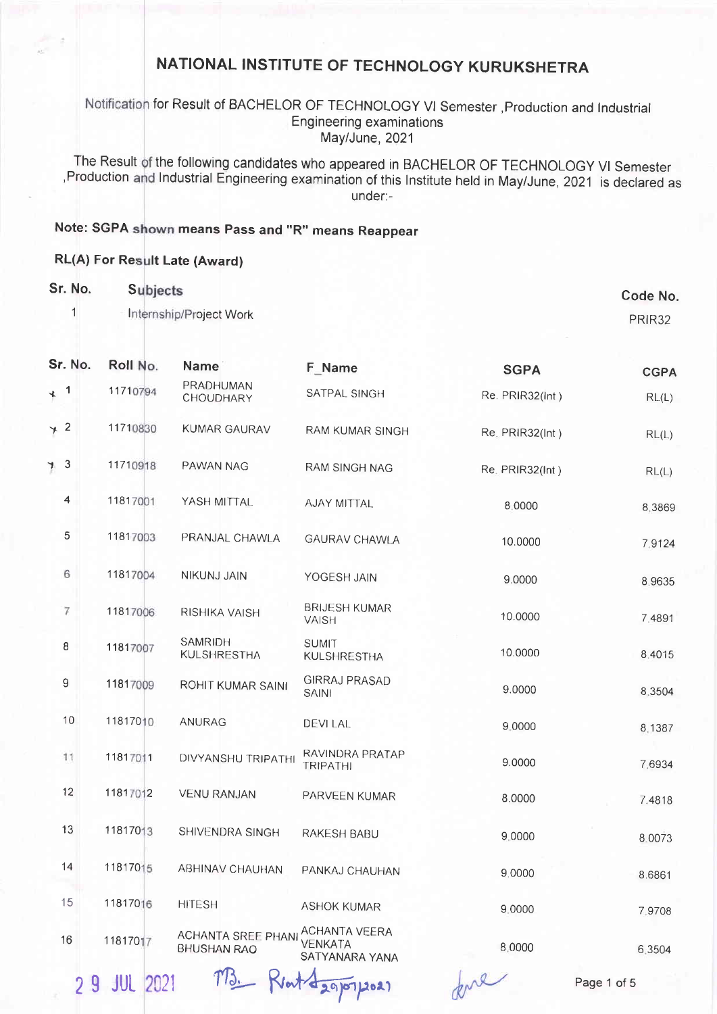### Notification for Result of BACHELOR OF TECHNOLOGY VI Semester, Production and Industrial Engineering examinations May/June, 2021

The Result of the following candidates who appeared in BACHELOR OF TECHNOLOGY VI Semester Production and Industrial Engineering examination of this Institute held in May/June, 2021 is declared as under:-

## Note: SGPA shown means Pass and "R" means Reappear

#### RL(A) For Result Late (Award)

| Sr. No.<br>1     | <b>Subjects</b> | Internship/Project Work                         |                                                          |                 | <b>Code No</b><br>PRIR32 |
|------------------|-----------------|-------------------------------------------------|----------------------------------------------------------|-----------------|--------------------------|
| Sr. No.          | Roll No.        | <b>Name</b>                                     | F_Name                                                   | <b>SGPA</b>     | <b>CGPA</b>              |
| $4^{1}$          | 11710794        | PRADHUMAN<br>CHOUDHARY                          | SATPAL SINGH                                             | Re. PRIR32(Int) | RL(L)                    |
| $*$ 2            | 11710830        | <b>KUMAR GAURAV</b>                             | RAM KUMAR SINGH                                          | Re. PRIR32(Int) | RL(L)                    |
| 73               | 11710918        | PAWAN NAG                                       | RAM SINGH NAG                                            | Re. PRIR32(Int) | RL(L)                    |
| $\overline{4}$   | 11817001        | YASH MITTAL                                     | AJAY MITTAL                                              | 8.0000          | 8,3869                   |
| 5                | 11817003        | PRANJAL CHAWLA                                  | <b>GAURAV CHAWLA</b>                                     | 10.0000         | 7.9124                   |
| 6                | 11817004        | NIKUNJ JAIN                                     | YOGESH JAIN                                              | 9.0000          | 8.9635                   |
| 7                | 11817006        | RISHIKA VAISH                                   | <b>BRIJESH KUMAR</b><br><b>VAISH</b>                     | 10.0000         | 7.4891                   |
| 8                | 11817007        | <b>SAMRIDH</b><br><b>KULSHRESTHA</b>            | <b>SUMIT</b><br><b>KULSHRESTHA</b>                       | 10.0000         | 8.4015                   |
| $\boldsymbol{9}$ | 11817009        | ROHIT KUMAR SAINI                               | <b>GIRRAJ PRASAD</b><br><b>SAINI</b>                     | 9.0000          | 8.3504                   |
| 10               | 11817010        | ANURAG                                          | <b>DEVILAL</b>                                           | 9.0000          | 8.1387                   |
| 11               | 11817011        | DIVYANSHU TRIPATHI                              | RAVINDRA PRATAP<br><b>TRIPATHI</b>                       | 9.0000          | 7.6934                   |
| 12               | 11817012        | <b>VENU RANJAN</b>                              | PARVEEN KUMAR                                            | 8.0000          | 7.4818                   |
| 13               | 11817013        | SHIVENDRA SINGH                                 | RAKESH BABU                                              | 9.0000          | 8.0073                   |
| 14               | 11817015        | <b>ABHINAV CHAUHAN</b>                          | PANKAJ CHAUHAN                                           | 9.0000          | 8.6861                   |
| 15               | 11817016        | <b>HITESH</b>                                   | <b>ASHOK KUMAR</b>                                       | 9.0000          | 7.9708                   |
| 16               | 11817017        | <b>ACHANTA SREE PHANI</b><br><b>BHUSHAN RAO</b> | <b>ACHANTA VEERA</b><br><b>VENKATA</b><br>SATYANARA YANA | 8.0000          | 6.3504                   |
| 29               | 2021<br>JUL     |                                                 | $V$ at $42910712021$                                     | ul              | Page 1 of 5              |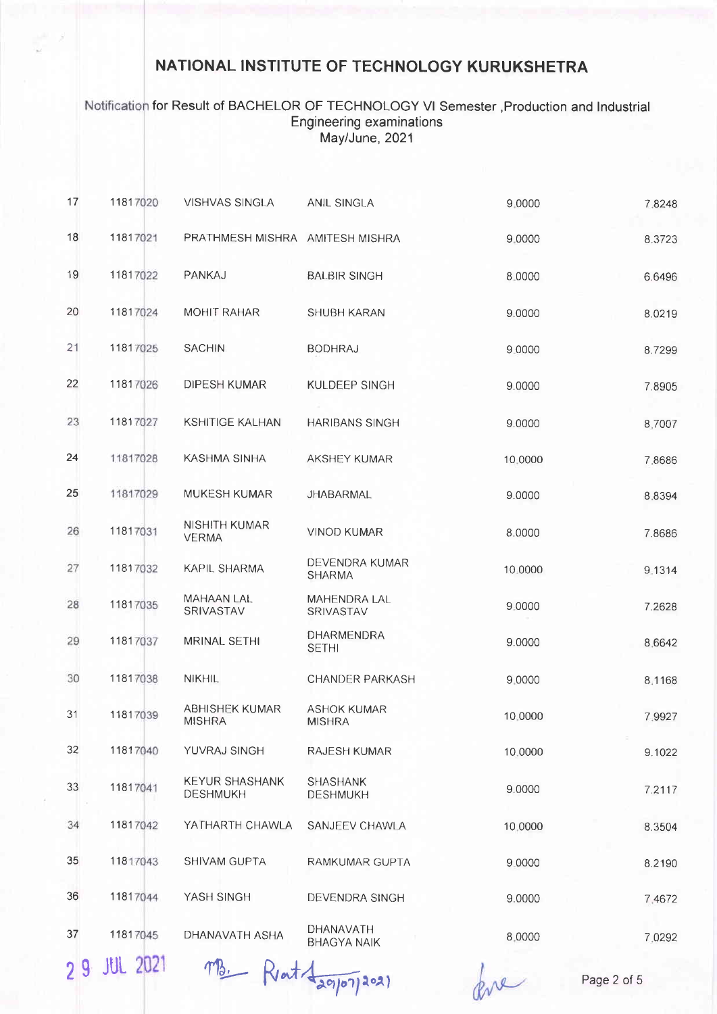### Notification for Result of BACHELOR OF TECHNOLOGY VI Semester , Production and Industrial Engineering examinations May/June, 2021

| 17 | 11817020 | <b>VISHVAS SINGLA</b>                    | <b>ANIL SINGLA</b>                  | 9,0000  | 7.8248 |
|----|----------|------------------------------------------|-------------------------------------|---------|--------|
| 18 | 11817021 | PRATHMESH MISHRA AMITESH MISHRA          |                                     | 9.0000  | 8.3723 |
| 19 | 11817022 | PANKAJ                                   | <b>BALBIR SINGH</b>                 | 8.0000  | 6.6496 |
| 20 | 11817024 | <b>MOHIT RAHAR</b>                       | <b>SHUBH KARAN</b>                  | 9.0000  | 8.0219 |
| 21 | 11817025 | <b>SACHIN</b>                            | <b>BODHRAJ</b>                      | 9.0000  | 8.7299 |
| 22 | 11817026 | DIPESH KUMAR                             | KULDEEP SINGH                       | 9.0000  | 7.8905 |
| 23 | 11817027 | <b>KSHITIGE KALHAN</b>                   | <b>HARIBANS SINGH</b>               | 9.0000  | 8.7007 |
| 24 | 11817028 | KASHMA SINHA                             | <b>AKSHEY KUMAR</b>                 | 10.0000 | 7.8686 |
| 25 | 11817029 | MUKESH KUMAR                             | <b>JHABARMAL</b>                    | 9.0000  | 8.8394 |
| 26 | 11817031 | NISHITH KUMAR<br><b>VERMA</b>            | <b>VINOD KUMAR</b>                  | 8.0000  | 7.8686 |
| 27 | 11817032 | KAPIL SHARMA                             | DEVENDRA KUMAR<br><b>SHARMA</b>     | 10.0000 | 9.1314 |
| 28 | 11817035 | <b>MAHAAN LAL</b><br>SRIVASTAV           | <b>MAHENDRA LAL</b><br>SRIVASTAV    | 9.0000  | 7.2628 |
| 29 | 11817037 | MRINAL SETHI                             | DHARMENDRA<br><b>SETHI</b>          | 9.0000  | 8.6642 |
| 30 | 11817038 | <b>NIKHIL</b>                            | <b>CHANDER PARKASH</b>              | 9.0000  | 8.1168 |
| 31 | 11817039 | <b>ABHISHEK KUMAR</b><br><b>MISHRA</b>   | <b>ASHOK KUMAR</b><br><b>MISHRA</b> | 10.0000 | 7.9927 |
| 32 | 11817040 | YUVRAJ SINGH                             | <b>RAJESH KUMAR</b>                 | 10.0000 | 9.1022 |
| 33 | 11817041 | <b>KEYUR SHASHANK</b><br><b>DESHMUKH</b> | <b>SHASHANK</b><br><b>DESHMUKH</b>  | 9.0000  | 7.2117 |
| 34 | 11817042 | YATHARTH CHAWLA                          | SANJEEV CHAWLA                      | 10,0000 | 8.3504 |
| 35 | 11817043 | <b>SHIVAM GUPTA</b>                      | RAMKUMAR GUPTA                      | 9.0000  | 8.2190 |
| 36 | 11817044 | YASH SINGH                               | <b>DEVENDRA SINGH</b>               | 9.0000  | 7.4672 |
| 37 | 11817045 | DHANAVATH ASHA                           | DHANAVATH<br><b>BHAGYA NAIK</b>     | 8.0000  | 7.0292 |
|    |          |                                          |                                     |         |        |

29 JUL 2021  $\pi B$ . Reat  $\frac{1}{2}$   $\pi B$ . Read  $\frac{1}{2}$   $\frac{1}{2}$   $\frac{1}{2}$   $\frac{1}{2}$   $\frac{1}{2}$   $\frac{1}{2}$   $\frac{1}{2}$   $\frac{1}{2}$   $\frac{1}{2}$   $\frac{1}{2}$   $\frac{1}{2}$   $\frac{1}{2}$   $\frac{1}{2}$   $\frac{1}{2}$   $\frac{1}{2}$   $\frac{1}{2}$   $\frac{1}{2}$   $\frac{1$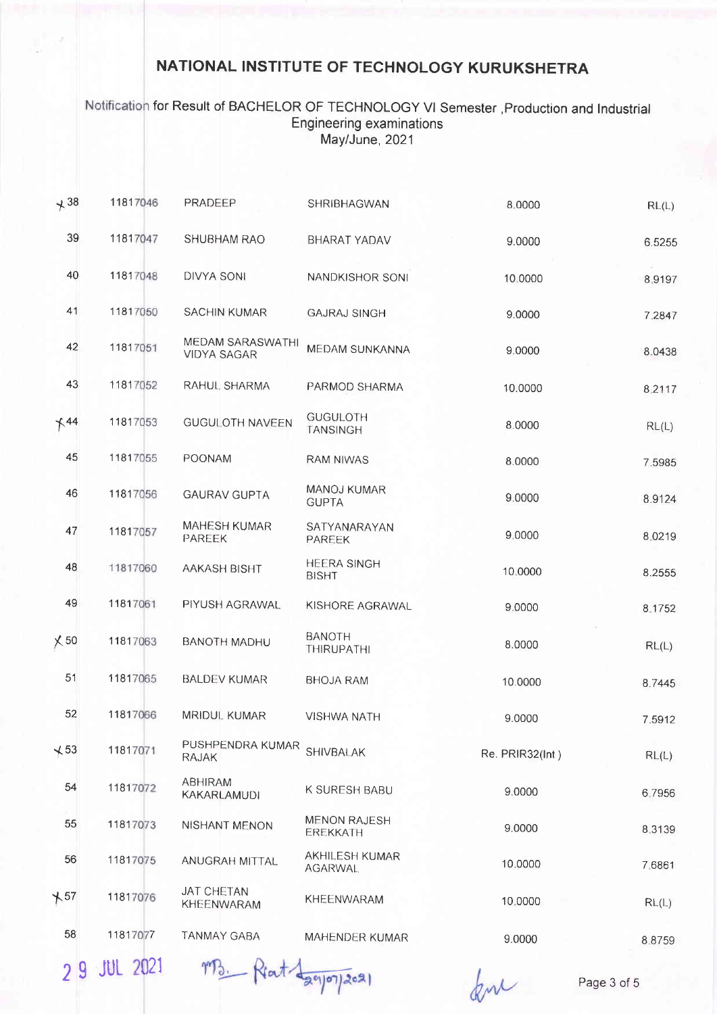Notification for Result of BACHELOR OF TECHNOLOGY VI Semester , Production and Industrial Engineering examinations May/June, 2021

| $+38$       | 11817046 | PRADEEP                                | SHRIBHAGWAN                        | 8.0000          | RL(L)  |
|-------------|----------|----------------------------------------|------------------------------------|-----------------|--------|
| 39          | 11817047 | <b>SHUBHAM RAO</b>                     | BHARAT YADAV                       | 9.0000          | 6.5255 |
| 40          | 11817048 | <b>DIVYA SONI</b>                      | NANDKISHOR SONI                    | 10:0000         | 8.9197 |
| 41          | 11817050 | <b>SACHIN KUMAR</b>                    | <b>GAJRAJ SINGH</b>                | 9.0000          | 7.2847 |
| 42          | 11817051 | MEDAM SARASWATHI<br><b>VIDYA SAGAR</b> | MEDAM SUNKANNA                     | 9.0000          | 8.0438 |
| 43          | 11817052 | RAHUL SHARMA                           | PARMOD SHARMA                      | 10.0000         | 8,2117 |
| $+44$       | 11817053 | <b>GUGULOTH NAVEEN</b>                 | <b>GUGULOTH</b><br><b>TANSINGH</b> | 8.0000          | RL(L)  |
| 45          | 11817055 | POONAM                                 | <b>RAM NIWAS</b>                   | 8.0000          | 7,5985 |
| 46          | 11817056 | <b>GAURAV GUPTA</b>                    | <b>MANOJ KUMAR</b><br><b>GUPTA</b> | 9.0000          | 8.9124 |
| 47          | 11817057 | <b>MAHESH KUMAR</b><br>PAREEK          | SATYANARAYAN<br>PAREEK             | 9,0000          | 8.0219 |
| 48          | 11817060 | AAKASH BISHT                           | <b>HEERA SINGH</b><br><b>BISHT</b> | 10.0000         | 8.2555 |
| 49          | 11817061 | PIYUSH AGRAWAL                         | KISHORE AGRAWAL                    | 9.0000          | 8.1752 |
| $\times$ 50 | 11817063 | <b>BANOTH MADHU</b>                    | <b>BANOTH</b><br>THIRUPATHI        | 8.0000          | RL(L)  |
| 51          | 11817065 | <b>BALDEV KUMAR</b>                    | <b>BHOJA RAM</b>                   | 10.0000         | 8.7445 |
| 52          | 11817066 | <b>MRIDUL KUMAR</b>                    | <b>VISHWA NATH</b>                 | 9.0000          | 7.5912 |
| $\sqrt{53}$ | 11817071 | PUSHPENDRA KUMAR<br><b>RAJAK</b>       | <b>SHIVBALAK</b>                   | Re. PRIR32(Int) | RL(L)  |
| 54          | 11817072 | <b>ABHIRAM</b><br>KAKARLAMUDI          | K SURESH BABU                      | 9.0000          | 6.7956 |
| 55          | 11817073 | NISHANT MENON                          | <b>MENON RAJESH</b><br>EREKKATH    | 9.0000          | 8.3139 |
| 56          | 11817075 | ANUGRAH MITTAL                         | AKHILESH KUMAR<br><b>AGARWAL</b>   | 10,0000         | 7,6861 |
| $+57$       | 11817076 | <b>JAT CHETAN</b><br>KHEENWARAM        | KHEENWARAM                         | 10,0000         | RL(L)  |
| 58          | 11817077 | <b>TANMAY GABA</b>                     | MAHENDER KUMAR                     | 9.0000          | 8.8759 |
|             |          |                                        |                                    |                 |        |

2 9 JUL 2021

for

Page 3 of 5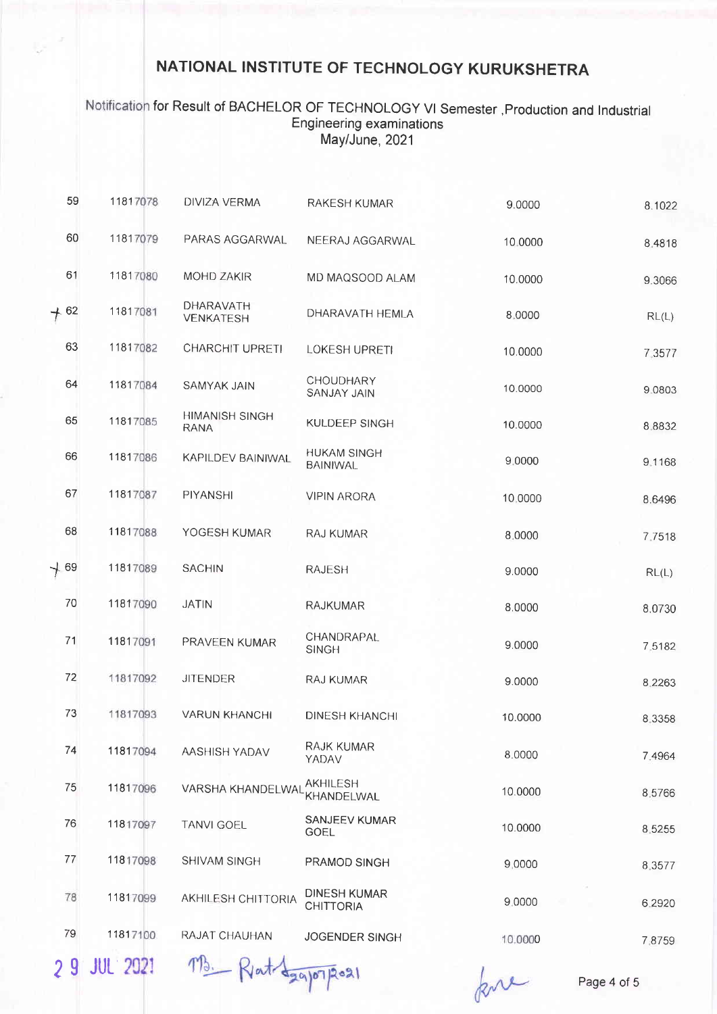### Notification for Result of BACHELOR OF TECHNOLOGY VI Semester , Production and Industrial Engineering examinations May/June, 2021

| 59     | 11817078 | DIVIZA VERMA                         | <b>RAKESH KUMAR</b>                     | 9.0000  | 8.1022 |
|--------|----------|--------------------------------------|-----------------------------------------|---------|--------|
| 60     | 11817079 | PARAS AGGARWAL                       | NEERAJ AGGARWAL                         | 10.0000 | 8.4818 |
| 61     | 11817080 | <b>MOHD ZAKIR</b>                    | MD MAQSOOD ALAM                         | 10.0000 | 9.3066 |
| $+ 62$ | 11817081 | DHARAVATH<br><b>VENKATESH</b>        | DHARAVATH HEMLA                         | 8,0000  | RL(L)  |
| 63     | 11817082 | <b>CHARCHIT UPRETI</b>               | LOKESH UPRETI                           | 10.0000 | 7.3577 |
| 64     | 11817084 | <b>SAMYAK JAIN</b>                   | CHOUDHARY<br><b>SANJAY JAIN</b>         | 10.0000 | 9.0803 |
| 65     | 11817085 | <b>HIMANISH SINGH</b><br><b>RANA</b> | KULDEEP SINGH                           | 10.0000 | 8.8832 |
| 66     | 11817086 | KAPILDEV BAINIWAL                    | <b>HUKAM SINGH</b><br><b>BAINIWAL</b>   | 9.0000  | 9.1168 |
| 67     | 11817087 | PIYANSHI                             | <b>VIPIN ARORA</b>                      | 10,0000 | 8.6496 |
| 68     | 11817088 | YOGESH KUMAR                         | <b>RAJ KUMAR</b>                        | 8.0000  | 7.7518 |
| $+69$  | 11817089 | <b>SACHIN</b>                        | <b>RAJESH</b>                           | 9.0000  | RL(L)  |
| 70     | 11817090 | <b>JATIN</b>                         | <b>RAJKUMAR</b>                         | 8.0000  | 8.0730 |
| 71     | 11817091 | PRAVEEN KUMAR                        | CHANDRAPAL<br><b>SINGH</b>              | 9.0000  | 7.5182 |
| 72     | 11817092 | <b>JITENDER</b>                      | RAJ KUMAR                               | 9.0000  | 8.2263 |
| 73     | 11817093 | <b>VARUN KHANCHI</b>                 | DINESH KHANCHI                          | 10.0000 | 8.3358 |
| 74     | 11817094 | AASHISH YADAV                        | RAJK KUMAR<br>YADAV                     | 8.0000  | 7.4964 |
| 75     | 11817096 | VARSHA KHANDELWAI                    | <b>AKHILESH</b><br>KHANDELWAL           | 10.0000 | 8.5766 |
| 76     | 11817097 | <b>TANVI GOEL</b>                    | SANJEEV KUMAR<br><b>GOEL</b>            | 10.0000 | 8.5255 |
| 77     | 11817098 | SHIVAM SINGH                         | PRAMOD SINGH                            | 9,0000  | 8.3577 |
| 78     | 11817099 | AKHILESH CHITTORIA                   | <b>DINESH KUMAR</b><br><b>CHITTORIA</b> | 9,0000  | 6.2920 |
| 79     | 11817100 | RAJAT CHAUHAN                        | <b>JOGENDER SINGH</b>                   | 10.0000 | 7.8759 |
|        |          |                                      |                                         |         |        |

29 JUL 2021 M3. Rat Lagonport

kre

Page 4 of 5